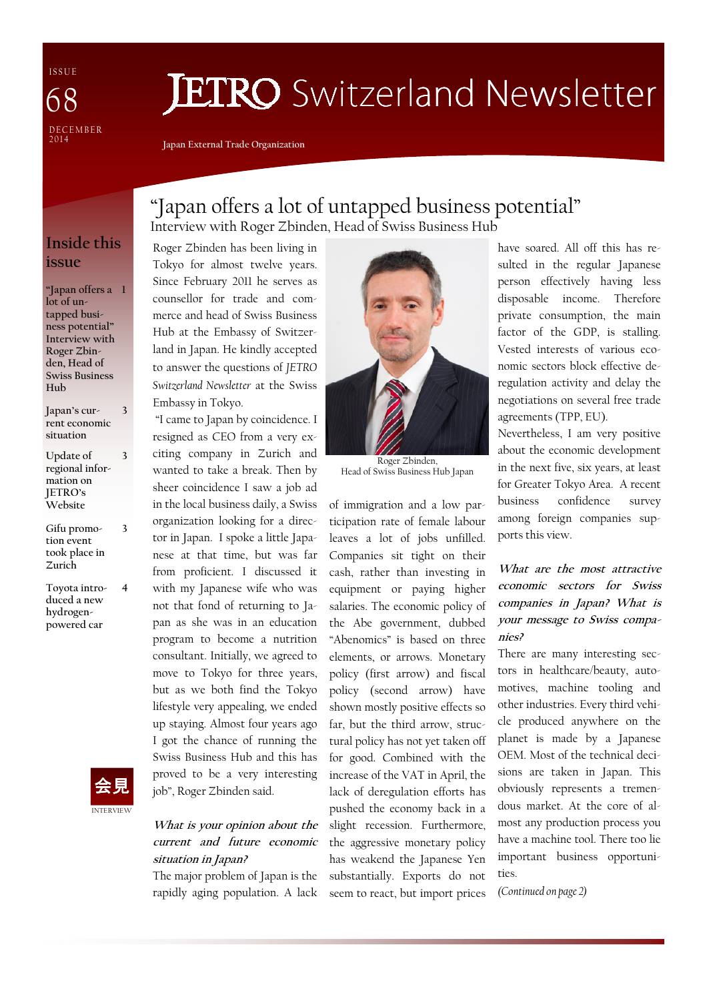I S S U E **DECEMBER** 2 0 1 4 68

# **JETRO** Switzerland Newsletter

"Japan offers a lot of untapped business potential"

Interview with Roger Zbinden, Head of Swiss Business Hub

Japan External Trade Organization

### Inside this issue

"Japan offers a 1 lot of untapped business potential" Interview with Roger Zbinden, Head of Swiss Business Hub

Japan's current economic situation 3

3

3

Update of regional information on JETRO's Website

Gifu promotion event took place in Zurich

Toyota introduced a new hydrogenpowered car 4



Roger Zbinden has been living in Tokyo for almost twelve years. Since February 2011 he serves as counsellor for trade and commerce and head of Swiss Business Hub at the Embassy of Switzerland in Japan. He kindly accepted to answer the questions of JETRO Switzerland Newsletter at the Swiss Embassy in Tokyo.

 "I came to Japan by coincidence. I resigned as CEO from a very exciting company in Zurich and wanted to take a break. Then by sheer coincidence I saw a job ad in the local business daily, a Swiss organization looking for a director in Japan. I spoke a little Japanese at that time, but was far from proficient. I discussed it with my Japanese wife who was not that fond of returning to Japan as she was in an education program to become a nutrition consultant. Initially, we agreed to move to Tokyo for three years, but as we both find the Tokyo lifestyle very appealing, we ended up staying. Almost four years ago I got the chance of running the Swiss Business Hub and this has proved to be a very interesting job", Roger Zbinden said.

#### What is your opinion about the current and future economic situation in Japan?

The major problem of Japan is the rapidly aging population. A lack



Roger Zbinden, Head of Swiss Business Hub Japan

of immigration and a low participation rate of female labour leaves a lot of jobs unfilled. Companies sit tight on their cash, rather than investing in equipment or paying higher salaries. The economic policy of the Abe government, dubbed "Abenomics" is based on three elements, or arrows. Monetary policy (first arrow) and fiscal policy (second arrow) have shown mostly positive effects so far, but the third arrow, structural policy has not yet taken off for good. Combined with the increase of the VAT in April, the lack of deregulation efforts has pushed the economy back in a slight recession. Furthermore, the aggressive monetary policy has weakend the Japanese Yen substantially. Exports do not seem to react, but import prices

have soared. All off this has resulted in the regular Japanese person effectively having less disposable income. Therefore private consumption, the main factor of the GDP, is stalling. Vested interests of various economic sectors block effective deregulation activity and delay the negotiations on several free trade agreements (TPP, EU).

Nevertheless, I am very positive about the economic development in the next five, six years, at least for Greater Tokyo Area. A recent business confidence survey among foreign companies supports this view.

#### What are the most attractive economic sectors for Swiss companies in Japan? What is your message to Swiss companies?

There are many interesting sectors in healthcare/beauty, automotives, machine tooling and other industries. Every third vehicle produced anywhere on the planet is made by a Japanese OEM. Most of the technical decisions are taken in Japan. This obviously represents a tremendous market. At the core of almost any production process you have a machine tool. There too lie important business opportunities.

(Continued on page 2)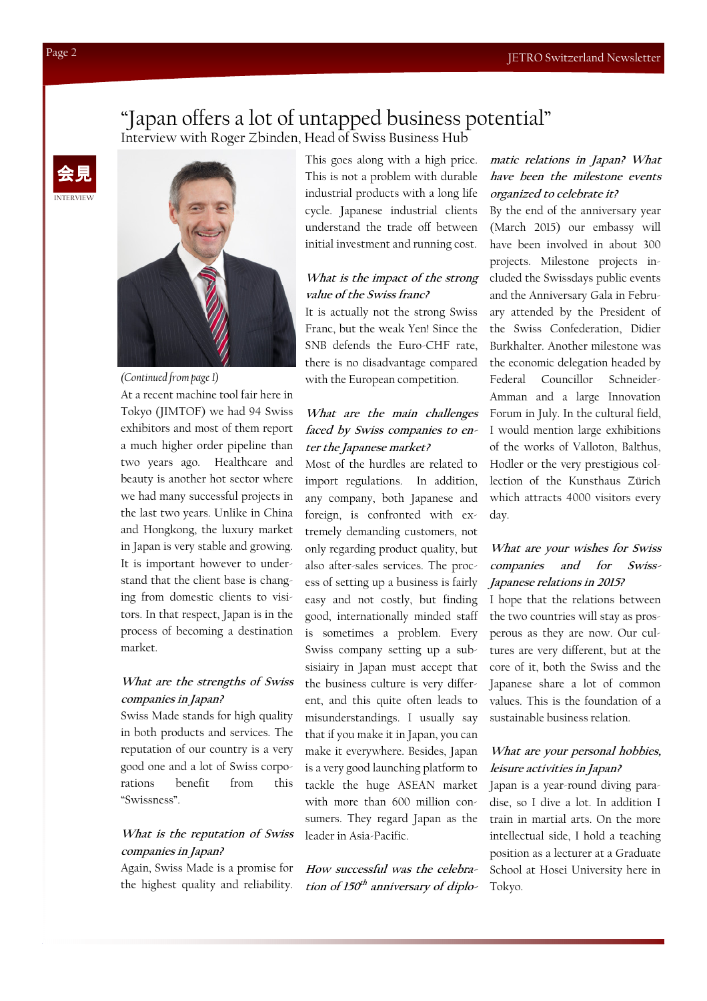# "Japan offers a lot of untapped business potential"

Interview with Roger Zbinden, Head of Swiss Business Hub





(Continued from page 1)

At a recent machine tool fair here in Tokyo (JIMTOF) we had 94 Swiss exhibitors and most of them report a much higher order pipeline than two years ago. Healthcare and beauty is another hot sector where we had many successful projects in the last two years. Unlike in China and Hongkong, the luxury market in Japan is very stable and growing. It is important however to understand that the client base is changing from domestic clients to visitors. In that respect, Japan is in the process of becoming a destination market.

#### What are the strengths of Swiss companies in Japan?

Swiss Made stands for high quality in both products and services. The reputation of our country is a very good one and a lot of Swiss corporations benefit from this "Swissness".

#### What is the reputation of Swiss companies in Japan?

Again, Swiss Made is a promise for the highest quality and reliability. This goes along with a high price. This is not a problem with durable industrial products with a long life cycle. Japanese industrial clients understand the trade off between initial investment and running cost.

#### What is the impact of the strong value of the Swiss franc?

It is actually not the strong Swiss Franc, but the weak Yen! Since the SNB defends the Euro-CHF rate, there is no disadvantage compared with the European competition.

#### What are the main challenges faced by Swiss companies to enter the Japanese market?

Most of the hurdles are related to import regulations. In addition, any company, both Japanese and foreign, is confronted with extremely demanding customers, not only regarding product quality, but also after-sales services. The process of setting up a business is fairly easy and not costly, but finding good, internationally minded staff is sometimes a problem. Every Swiss company setting up a subsisiairy in Japan must accept that the business culture is very different, and this quite often leads to misunderstandings. I usually say that if you make it in Japan, you can make it everywhere. Besides, Japan is a very good launching platform to tackle the huge ASEAN market with more than 600 million consumers. They regard Japan as the leader in Asia-Pacific.

How successful was the celebration of 150<sup>th</sup> anniversary of diplo-

#### matic relations in Japan? What have been the milestone events organized to celebrate it?

By the end of the anniversary year (March 2015) our embassy will have been involved in about 300 projects. Milestone projects included the Swissdays public events and the Anniversary Gala in February attended by the President of the Swiss Confederation, Didier Burkhalter. Another milestone was the economic delegation headed by Federal Councillor Schneider-Amman and a large Innovation Forum in July. In the cultural field, I would mention large exhibitions of the works of Valloton, Balthus, Hodler or the very prestigious collection of the Kunsthaus Zürich which attracts 4000 visitors every day.

#### What are your wishes for Swiss companies and for Swiss-Japanese relations in 2015?

I hope that the relations between the two countries will stay as prosperous as they are now. Our cultures are very different, but at the core of it, both the Swiss and the Japanese share a lot of common values. This is the foundation of a sustainable business relation.

#### What are your personal hobbies, leisure activities in Japan?

Japan is a year-round diving paradise, so I dive a lot. In addition I train in martial arts. On the more intellectual side, I hold a teaching position as a lecturer at a Graduate School at Hosei University here in Tokyo.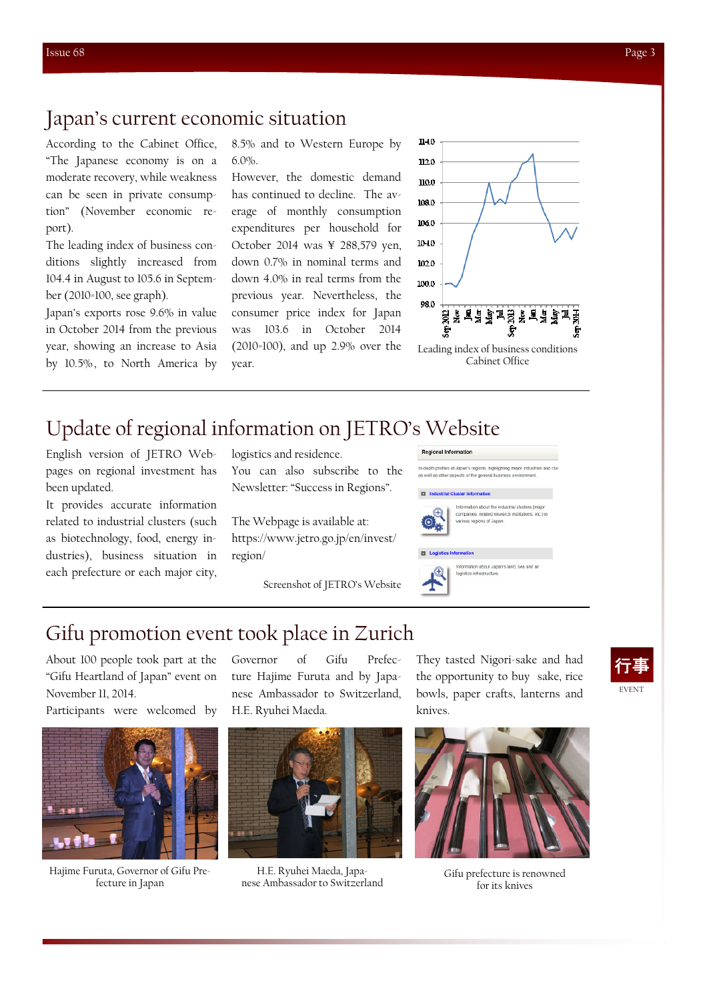## Japan's current economic situation

According to the Cabinet Office, "The Japanese economy is on a moderate recovery, while weakness can be seen in private consumption" (November economic report).

The leading index of business conditions slightly increased from 104.4 in August to 105.6 in September (2010=100, see graph).

Japan's exports rose 9.6% in value in October 2014 from the previous year, showing an increase to Asia by 10.5%, to North America by 8.5% and to Western Europe by 6.0%.

However, the domestic demand has continued to decline. The average of monthly consumption expenditures per household for October 2014 was ¥ 288,579 yen, down 0.7% in nominal terms and down 4.0% in real terms from the previous year. Nevertheless, the consumer price index for Japan was 103.6 in October 2014 (2010=100), and up 2.9% over the year.



Leading index of business conditions Cabinet Office

## Update of regional information on JETRO's Website

English version of JETRO Webpages on regional investment has been updated.

It provides accurate information related to industrial clusters (such as biotechnology, food, energy industries), business situation in each prefecture or each major city,

logistics and residence. You can also subscribe to the Newsletter: "Success in Regions".

The Webpage is available at: https://www.jetro.go.jp/en/invest/ region/

Screenshot of JETRO's Website



# Gifu promotion event took place in Zurich

About 100 people took part at the "Gifu Heartland of Japan" event on November 11, 2014.

Participants were welcomed by



Hajime Furuta, Governor of Gifu Prefecture in Japan

Governor of Gifu Prefecture Hajime Furuta and by Japanese Ambassador to Switzerland, H.E. Ryuhei Maeda.



H.E. Ryuhei Maeda, Japanese Ambassador to Switzerland

They tasted Nigori-sake and had the opportunity to buy sake, rice bowls, paper crafts, lanterns and knives.





Gifu prefecture is renowned for its knives